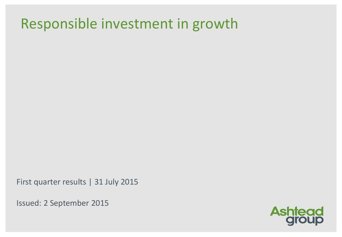## Responsible investment in growth

First quarter results | 31 July 2015

Issued: 2 September 2015

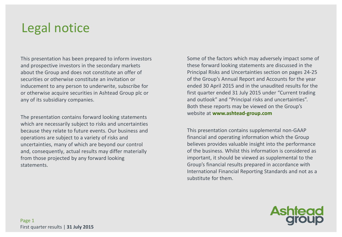## Legal notice

This presentation has been prepared to inform investors and prospective investors in the secondary markets about the Group and does not constitute an offer of securities or otherwise constitute an invitation or inducement to any person to underwrite, subscribe for or otherwise acquire securities in Ashtead Group plc or any of its subsidiary companies.

The presentation contains forward looking statements which are necessarily subject to risks and uncertainties because they relate to future events. Our business and operations are subject to a variety of risks and uncertainties, many of which are beyond our control and, consequently, actual results may differ materially from those projected by any forward looking statements.

Some of the factors which may adversely impact some of these forward looking statements are discussed in the Principal Risks and Uncertainties section on pages 24-25 of the Group's Annual Report and Accounts for the year ended 30 April 2015 and in the unaudited results for the first quarter ended 31 July 2015 under "Current trading and outlook" and "Principal risks and uncertainties". Both these reports may be viewed on the Group's website at **www.ashtead-group.com**

This presentation contains supplemental non-GAAP financial and operating information which the Group believes provides valuable insight into the performance of the business. Whilst this information is considered as important, it should be viewed as supplemental to the Group's financial results prepared in accordance with International Financial Reporting Standards and not as a substitute for them.

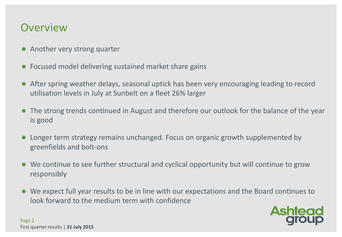#### **Overview**

- Another very strong quarter
- Focused model delivering sustained market share gains
- After spring weather delays, seasonal uptick has been very encouraging leading to record utilisation levels in July at Sunbelt on a fleet 26% larger
- The strong trends continued in August and therefore our outlook for the balance of the year is good
- Longer term strategy remains unchanged. Focus on organic growth supplemented by greenfields and bolt-ons
- We continue to see further structural and cyclical opportunity but will continue to grow responsibly
- We expect full year results to be in line with our expectations and the Board continues to look forward to the medium term with confidence

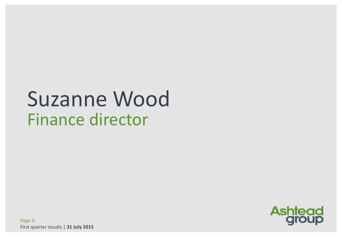# Suzanne Wood Finance director

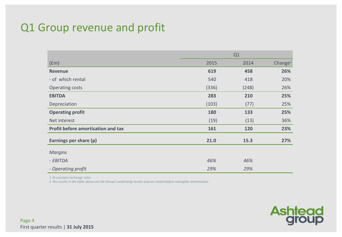#### Q1 Group revenue and profit

|                                    | Q1    |       |                     |  |
|------------------------------------|-------|-------|---------------------|--|
| (f <sub>em</sub> )                 | 2015  | 2014  | Change <sup>1</sup> |  |
| <b>Revenue</b>                     | 619   | 458   | 26%                 |  |
| - of which rental                  | 540   | 418   | 20%                 |  |
| Operating costs                    | (336) | (248) | 26%                 |  |
| <b>EBITDA</b>                      | 283   | 210   | 25%                 |  |
| Depreciation                       | (103) | (77)  | 25%                 |  |
| <b>Operating profit</b>            | 180   | 133   | 25%                 |  |
| Net interest                       | (19)  | (13)  | 36%                 |  |
| Profit before amortisation and tax | 161   | 120   | 23%                 |  |
| Earnings per share (p)             | 21.0  | 15.3  | 27%                 |  |
| <b>Margins</b>                     |       |       |                     |  |
| - EBITDA                           | 46%   | 46%   |                     |  |
| - Operating profit                 | 29%   | 29%   |                     |  |

*1 At constant exchange rates*

*2 The results in the table above are the Group's underlying results and are stated before intangible amortisation*

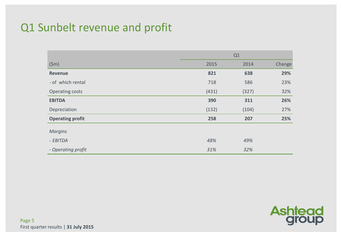#### Q1 Sunbelt revenue and profit

|                         | Q1    |       |        |  |
|-------------------------|-------|-------|--------|--|
| (5m)                    | 2015  | 2014  | Change |  |
| <b>Revenue</b>          | 821   | 638   | 29%    |  |
| - of which rental       | 718   | 586   | 23%    |  |
| Operating costs         | (431) | (327) | 32%    |  |
| <b>EBITDA</b>           | 390   | 311   | 26%    |  |
| Depreciation            | (132) | (104) | 27%    |  |
| <b>Operating profit</b> | 258   | 207   | 25%    |  |
| <b>Margins</b>          |       |       |        |  |
| - EBITDA                | 48%   | 49%   |        |  |
| - Operating profit      | 31%   | 32%   |        |  |

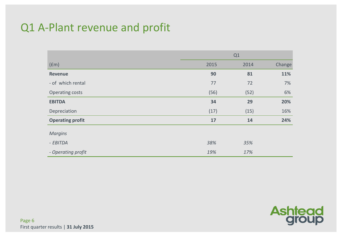#### Q1 A-Plant revenue and profit

|                         | Q1   |      |        |  |
|-------------------------|------|------|--------|--|
| (fm)                    | 2015 | 2014 | Change |  |
| <b>Revenue</b>          | 90   | 81   | 11%    |  |
| - of which rental       | 77   | 72   | 7%     |  |
| Operating costs         | (56) | (52) | 6%     |  |
| <b>EBITDA</b>           | 34   | 29   | 20%    |  |
| Depreciation            | (17) | (15) | 16%    |  |
| <b>Operating profit</b> | 17   | 14   | 24%    |  |
| <b>Margins</b>          |      |      |        |  |
| - EBITDA                | 38%  | 35%  |        |  |
| - Operating profit      | 19%  | 17%  |        |  |

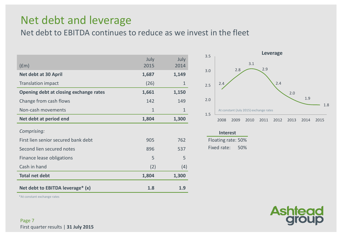#### Net debt and leverage

Net debt to EBITDA continues to reduce as we invest in the fleet

| $(\text{fm})$                          | July<br>2015 | July<br>2014 |
|----------------------------------------|--------------|--------------|
| Net debt at 30 April                   | 1,687        | 1,149        |
| <b>Translation impact</b>              | (26)         | $\mathbf 1$  |
| Opening debt at closing exchange rates | 1,661        | 1,150        |
| Change from cash flows                 | 142          | 149          |
| Non-cash movements                     | $\mathbf{1}$ | $\mathbf{1}$ |
| Net debt at period end                 | 1,804        | 1,300        |
| Comprising:                            |              |              |
| First lien senior secured bank debt    | 905          | 762          |
| Second lien secured notes              | 896          | 537          |
| Finance lease obligations              | 5            | 5            |
| Cash in hand                           | (2)          | (4)          |
| <b>Total net debt</b>                  | 1,804        | 1,300        |
| Net debt to EBITDA leverage* (x)       | 1.8          | 1.9          |



| <b>Interest</b>    |     |  |  |  |  |  |
|--------------------|-----|--|--|--|--|--|
| Floating rate: 50% |     |  |  |  |  |  |
| Fixed rate:        | 50% |  |  |  |  |  |



\*At constant exchange rates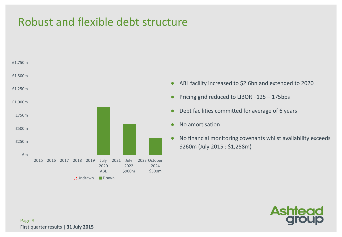#### Robust and flexible debt structure



- ABL facility increased to \$2.6bn and extended to 2020
- Pricing grid reduced to LIBOR +125 175bps
- Debt facilities committed for average of 6 years
- No amortisation
- No financial monitoring covenants whilst availability exceeds \$260m (July 2015 : \$1,258m)

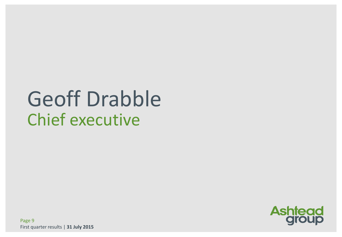# Geoff Drabble Chief executive

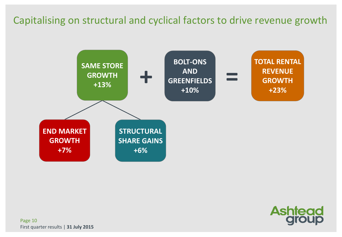#### Capitalising on structural and cyclical factors to drive revenue growth





Page 10 First quarter results | **31 July 2015**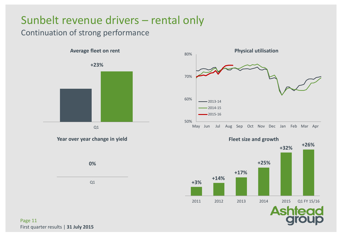#### Sunbelt revenue drivers – rental only

#### Continuation of strong performance











Page 11 First quarter results | **31 July 2015**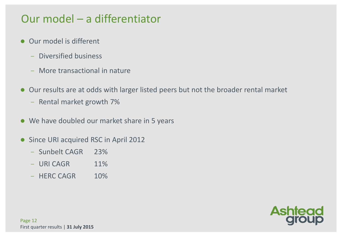#### Our model – a differentiator

- Our model is different
	- ̶ Diversified business
	- ̶ More transactional in nature
- Our results are at odds with larger listed peers but not the broader rental market
	- ̶ Rental market growth 7%
- We have doubled our market share in 5 years
- Since URI acquired RSC in April 2012
	- ̶ Sunbelt CAGR 23%
	- $-$  URI CAGR  $11\%$
	- ̶ HERC CAGR 10%



Page 12 First quarter results | **31 July 2015**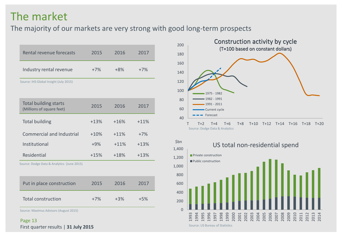#### The market

The majority of our markets are very strong with good long-term prospects

| Rental revenue forecasts                                  | 2015   | 2016   | 2017   |
|-----------------------------------------------------------|--------|--------|--------|
| Industry rental revenue                                   | $+7%$  | $+8%$  | $+7%$  |
| Source: IHS Global Insight (July 2015)                    |        |        |        |
| <b>Total building starts</b><br>(Millions of square feet) | 2015   | 2016   | 2017   |
| <b>Total building</b>                                     | $+13%$ | $+16%$ | $+11%$ |
| <b>Commercial and Industrial</b>                          | $+10%$ | $+11%$ | $+7%$  |
| Institutional                                             | $+9%$  | $+11%$ | $+13%$ |
| Residential                                               | $+15%$ | $+18%$ | $+13%$ |
| Source: Dodge Data & Analytics (June 2015)                |        |        |        |
| Put in place construction                                 | 2015   | 2016   | 2017   |
| <b>Total construction</b>                                 | $+7%$  | $+3%$  | $+5%$  |
| Source: Maximus Advisors (August 2015)                    |        |        |        |

Page 13 First quarter results | **31 July 2015**





Source: US Bureau of Statistics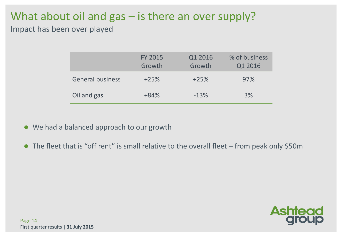#### What about oil and gas – is there an over supply? Impact has been over played

|                         | <b>FY 2015</b><br>Growth | Q1 2016<br>Growth | % of business<br>Q1 2016 |
|-------------------------|--------------------------|-------------------|--------------------------|
| <b>General business</b> | $+25%$                   | $+25%$            | 97%                      |
| Oil and gas             | $+84%$                   | $-13%$            | 3%                       |

- We had a balanced approach to our growth
- The fleet that is "off rent" is small relative to the overall fleet from peak only \$50m

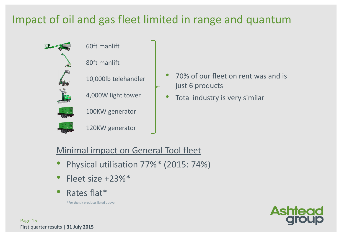#### Impact of oil and gas fleet limited in range and quantum





80ft manlift



4,000W light tower



100KW generator



120KW generator

- 70% of our fleet on rent was and is just 6 products
- Total industry is very similar

#### Minimal impact on General Tool fleet

- Physical utilisation 77%\* (2015: 74%)
- Fleet size +23%\*
- Rates flat\*

\*For the six products listed above

Page 15 First quarter results | **31 July 2015**

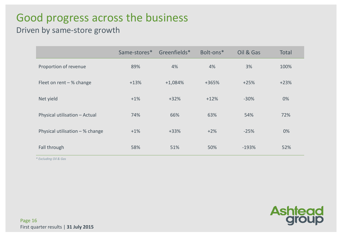#### Good progress across the business

#### Driven by same-store growth

|                                 | Same-stores* | Greenfields* | Bolt-ons* | Oil & Gas | <b>Total</b> |
|---------------------------------|--------------|--------------|-----------|-----------|--------------|
| Proportion of revenue           | 89%          | 4%           | 4%        | 3%        | 100%         |
| Fleet on rent $-$ % change      | $+13%$       | $+1,084%$    | +365%     | $+25%$    | $+23%$       |
| Net yield                       | $+1%$        | $+32%$       | $+12%$    | $-30%$    | 0%           |
| Physical utilisation - Actual   | 74%          | 66%          | 63%       | 54%       | 72%          |
| Physical utilisation - % change | $+1%$        | $+33%$       | $+2%$     | $-25%$    | 0%           |
| Fall through                    | 58%          | 51%          | 50%       | $-193%$   | 52%          |

*\* Excluding Oil & Gas*

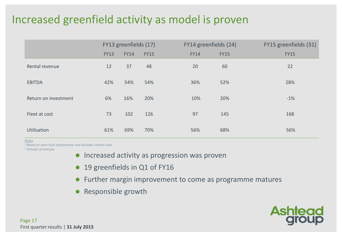#### Increased greenfield activity as model is proven

|                      |             | FY13 greenfields (17) |             | FY14 greenfields (24) |             | FY15 greenfields (31) |  |  |
|----------------------|-------------|-----------------------|-------------|-----------------------|-------------|-----------------------|--|--|
|                      | <b>FY13</b> | <b>FY14</b>           | <b>FY15</b> | <b>FY14</b>           | <b>FY15</b> | <b>FY15</b>           |  |  |
| Rental revenue       | 12          | 37                    | 48          | 20                    | 60          | 22                    |  |  |
| <b>EBITDA</b>        | 42%         | 54%                   | 54%         | 36%                   | 52%         | 28%                   |  |  |
| Return on investment | 6%          | 16%                   | 20%         | 10%                   | 20%         | $-1%$                 |  |  |
| Fleet at cost        | 73          | 102                   | 126         | 97                    | 145         | 168                   |  |  |
| Utilisation          | 61%         | 69%                   | 70%         | 56%                   | 68%         | 56%                   |  |  |

*Notes*

*<sup>1</sup> Based on store level performance and excludes central costs*

*2 Includes oil and gas*

- **•** Increased activity as progression was proven
- 19 greenfields in Q1 of FY16
- Further margin improvement to come as programme matures
- Responsible growth

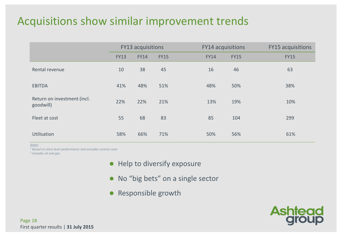#### Acquisitions show similar improvement trends

|                                          | <b>FY13 acquisitions</b> |             |             | <b>FY14 acquisitions</b> |             | <b>FY15 acquisitions</b> |  |  |
|------------------------------------------|--------------------------|-------------|-------------|--------------------------|-------------|--------------------------|--|--|
|                                          | <b>FY13</b>              | <b>FY14</b> | <b>FY15</b> | <b>FY14</b>              | <b>FY15</b> | <b>FY15</b>              |  |  |
| Rental revenue                           | 10                       | 38          | 45          | 16                       | 46          | 63                       |  |  |
| <b>EBITDA</b>                            | 41%                      | 48%         | 51%         | 48%                      | 50%         | 38%                      |  |  |
| Return on investment (incl.<br>goodwill) | 22%                      | 22%         | 21%         | 13%                      | 19%         | 10%                      |  |  |
| Fleet at cost                            | 55                       | 68          | 83          | 85                       | 104         | 299                      |  |  |
| Utilisation                              | 58%                      | 66%         | 71%         | 50%                      | 56%         | 61%                      |  |  |

*Notes*

*<sup>1</sup> Based on store level performance and excludes central costs*

*2 Includes oil and gas*

- Help to diversify exposure
- No "big bets" on a single sector
- Responsible growth

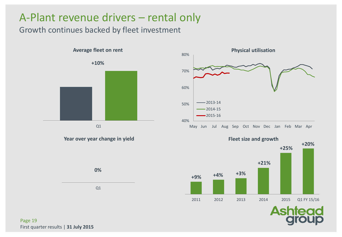#### A-Plant revenue drivers – rental only

#### Growth continues backed by fleet investment



Q1

**0%** 

**Year over year change in yield**





Page 19 First quarter results | **31 July 2015**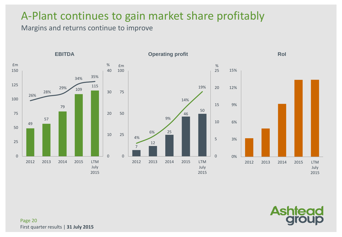#### A-Plant continues to gain market share profitably

Margins and returns continue to improve



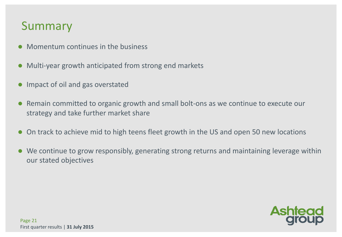#### Summary

- Momentum continues in the business
- Multi-year growth anticipated from strong end markets
- Impact of oil and gas overstated
- Remain committed to organic growth and small bolt-ons as we continue to execute our strategy and take further market share
- On track to achieve mid to high teens fleet growth in the US and open 50 new locations
- We continue to grow responsibly, generating strong returns and maintaining leverage within our stated objectives

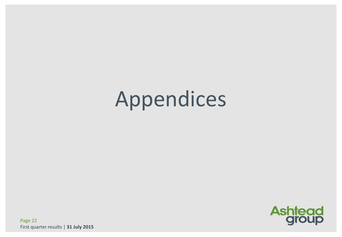# Appendices



Page 22 First quarter results | **31 July 2015**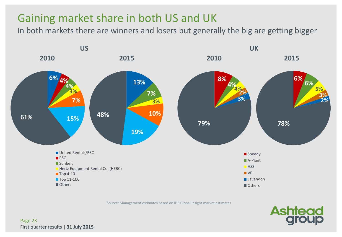#### Gaining market share in both US and UK

In both markets there are winners and losers but generally the big are getting bigger



Source: Management estimates based on IHS Global Insight market estimates

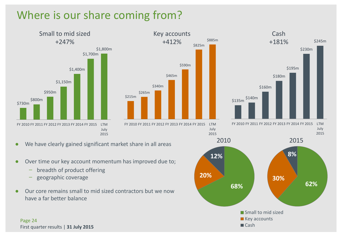#### Where is our share coming from?





July 2015



FY 2010 FY 2011 FY 2012 FY 2013 FY 2014 FY 2015 LTM July 2015



- We have clearly gained significant market share in all areas
- Over time our key account momentum has improved due to;
	- breadth of product offering
	- ̶ geographic coverage
- Our core remains small to mid sized contractors but we now have a far better balance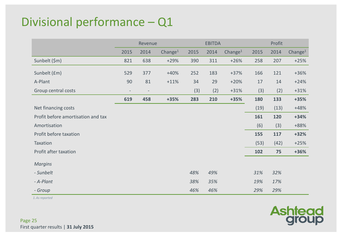#### Divisional performance – Q1

|                                    | Revenue           |                          |            | <b>EBITDA</b> |      |            | Profit |      |            |
|------------------------------------|-------------------|--------------------------|------------|---------------|------|------------|--------|------|------------|
|                                    | 2015              | 2014                     | Change $1$ | 2015          | 2014 | Change $1$ | 2015   | 2014 | Change $1$ |
| Sunbelt (\$m)                      | 821               | 638                      | $+29%$     | 390           | 311  | $+26%$     | 258    | 207  | $+25%$     |
| Sunbelt (£m)                       | 529               | 377                      | $+40%$     | 252           | 183  | $+37%$     | 166    | 121  | $+36%$     |
| A-Plant                            | 90                | 81                       | $+11%$     | 34            | 29   | $+20%$     | 17     | 14   | $+24%$     |
| Group central costs                | $\qquad \qquad -$ | $\overline{\phantom{a}}$ |            | (3)           | (2)  | $+31%$     | (3)    | (2)  | $+31%$     |
|                                    | 619               | 458                      | $+35%$     | 283           | 210  | $+35%$     | 180    | 133  | $+35%$     |
| Net financing costs                |                   |                          |            |               |      |            | (19)   | (13) | $+48%$     |
| Profit before amortisation and tax |                   |                          |            |               |      |            | 161    | 120  | $+34%$     |
| Amortisation                       |                   |                          |            |               |      |            | (6)    | (3)  | +88%       |
| Profit before taxation             |                   |                          |            |               |      |            | 155    | 117  | $+32%$     |
| Taxation                           |                   |                          |            |               |      |            | (53)   | (42) | $+25%$     |
| Profit after taxation              |                   |                          |            |               |      |            | 102    | 75   | $+36%$     |
| <b>Margins</b>                     |                   |                          |            |               |      |            |        |      |            |
| - Sunbelt                          |                   |                          |            | 48%           | 49%  |            | 31%    | 32%  |            |
| - A-Plant                          |                   |                          |            | 38%           | 35%  |            | 19%    | 17%  |            |
| - Group                            |                   |                          |            | 46%           | 46%  |            | 29%    | 29%  |            |

*1.As reported*

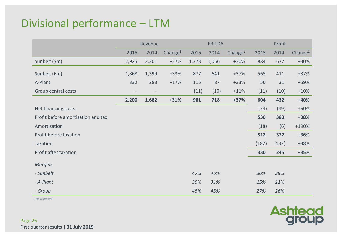#### Divisional performance – LTM

|                                    | Revenue                  |                          | <b>EBITDA</b>       |       |       | Profit              |       |       |                     |
|------------------------------------|--------------------------|--------------------------|---------------------|-------|-------|---------------------|-------|-------|---------------------|
|                                    | 2015                     | 2014                     | Change <sup>1</sup> | 2015  | 2014  | Change <sup>1</sup> | 2015  | 2014  | Change <sup>1</sup> |
| Sunbelt (\$m)                      | 2,925                    | 2,301                    | $+27%$              | 1,373 | 1,056 | $+30%$              | 884   | 677   | $+30%$              |
| Sunbelt (£m)                       | 1,868                    | 1,399                    | $+33%$              | 877   | 641   | $+37%$              | 565   | 411   | $+37%$              |
| A-Plant                            | 332                      | 283                      | $+17%$              | 115   | 87    | $+33%$              | 50    | 31    | +59%                |
| Group central costs                | $\overline{\phantom{a}}$ | $\overline{\phantom{a}}$ |                     | (11)  | (10)  | $+11%$              | (11)  | (10)  | $+10%$              |
|                                    | 2,200                    | 1,682                    | $+31%$              | 981   | 718   | $+37%$              | 604   | 432   | $+40%$              |
| Net financing costs                |                          |                          |                     |       |       |                     | (74)  | (49)  | $+50%$              |
| Profit before amortisation and tax |                          |                          |                     |       |       |                     | 530   | 383   | +38%                |
| Amortisation                       |                          |                          |                     |       |       |                     | (18)  | (6)   | $+190%$             |
| Profit before taxation             |                          |                          |                     |       |       |                     | 512   | 377   | +36%                |
| Taxation                           |                          |                          |                     |       |       |                     | (182) | (132) | $+38%$              |
| Profit after taxation              |                          |                          |                     |       |       |                     | 330   | 245   | $+35%$              |
| <b>Margins</b>                     |                          |                          |                     |       |       |                     |       |       |                     |
| - Sunbelt                          |                          |                          |                     | 47%   | 46%   |                     | 30%   | 29%   |                     |
| - A-Plant                          |                          |                          |                     | 35%   | 31%   |                     | 15%   | 11%   |                     |
| - Group                            |                          |                          |                     | 45%   | 43%   |                     | 27%   | 26%   |                     |

*1.As reported*

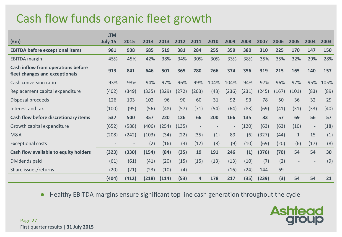## Cash flow funds organic fleet growth

|                                                                      | <b>LTM</b> |       |       |       |       |                          |      |       |       |       |       |                          |                          |      |
|----------------------------------------------------------------------|------------|-------|-------|-------|-------|--------------------------|------|-------|-------|-------|-------|--------------------------|--------------------------|------|
| f(m)                                                                 | July 15    | 2015  | 2014  | 2013  | 2012  | 2011                     | 2010 | 2009  | 2008  | 2007  | 2006  | 2005                     | 2004                     | 2003 |
| <b>EBITDA before exceptional items</b>                               | 981        | 908   | 685   | 519   | 381   | 284                      | 255  | 359   | 380   | 310   | 225   | 170                      | 147                      | 150  |
| <b>EBITDA</b> margin                                                 | 45%        | 45%   | 42%   | 38%   | 34%   | 30%                      | 30%  | 33%   | 38%   | 35%   | 35%   | 32%                      | 29%                      | 28%  |
| Cash inflow from operations before<br>fleet changes and exceptionals | 913        | 841   | 646   | 501   | 365   | 280                      | 266  | 374   | 356   | 319   | 215   | 165                      | 140                      | 157  |
| Cash conversion ratio                                                | 93%        | 93%   | 94%   | 97%   | 96%   | 99%                      | 104% | 104%  | 94%   | 97%   | 96%   | 97%                      | 95%                      | 105% |
| Replacement capital expenditure                                      | (402)      | (349) | (335) | (329) | (272) | (203)                    | (43) | (236) | (231) | (245) | (167) | (101)                    | (83)                     | (89) |
| Disposal proceeds                                                    | 126        | 103   | 102   | 96    | 90    | 60                       | 31   | 92    | 93    | 78    | 50    | 36                       | 32                       | 29   |
| Interest and tax                                                     | (100)      | (95)  | (56)  | (48)  | (57)  | (71)                     | (54) | (64)  | (83)  | (69)  | (41)  | (31)                     | (33)                     | (40) |
| Cash flow before discretionary items                                 | 537        | 500   | 357   | 220   | 126   | 66                       | 200  | 166   | 135   | 83    | 57    | 69                       | 56                       | 57   |
| Growth capital expenditure                                           | (652)      | (588) | (406) | (254) | (135) | $\overline{\phantom{a}}$ |      |       | (120) | (63)  | (63)  | (10)                     | $\overline{\phantom{a}}$ | (18) |
| <b>M&amp;A</b>                                                       | (208)      | (242) | (103) | (34)  | (22)  | (35)                     | (1)  | 89    | (6)   | (327) | (44)  | $\mathbf 1$              | 15                       | (1)  |
| <b>Exceptional costs</b>                                             |            |       | (2)   | (16)  | (3)   | (12)                     | (8)  | (9)   | (10)  | (69)  | (20)  | (6)                      | (17)                     | (8)  |
| Cash flow available to equity holders                                | (323)      | (330) | (154) | (84)  | (35)  | 19                       | 191  | 246   | (1)   | (376) | (70)  | 54                       | 54                       | 30   |
| Dividends paid                                                       | (61)       | (61)  | (41)  | (20)  | (15)  | (15)                     | (13) | (13)  | (10)  | (7)   | (2)   | $\overline{\phantom{a}}$ | $\overline{\phantom{a}}$ | (9)  |
| Share issues/returns                                                 | (20)       | (21)  | (23)  | (10)  | (4)   | $\overline{\phantom{m}}$ |      | (16)  | (24)  | 144   | 69    |                          |                          |      |
|                                                                      | (404)      | (412) | (218) | (114) | (53)  | 4                        | 178  | 217   | (35)  | (239) | (3)   | 54                       | 54                       | 21   |

● Healthy EBITDA margins ensure significant top line cash generation throughout the cycle

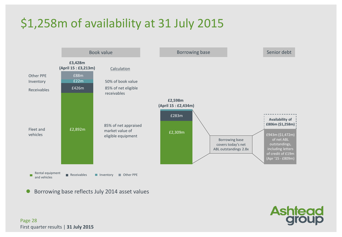## \$1,258m of availability at 31 July 2015



Borrowing base reflects July 2014 asset values